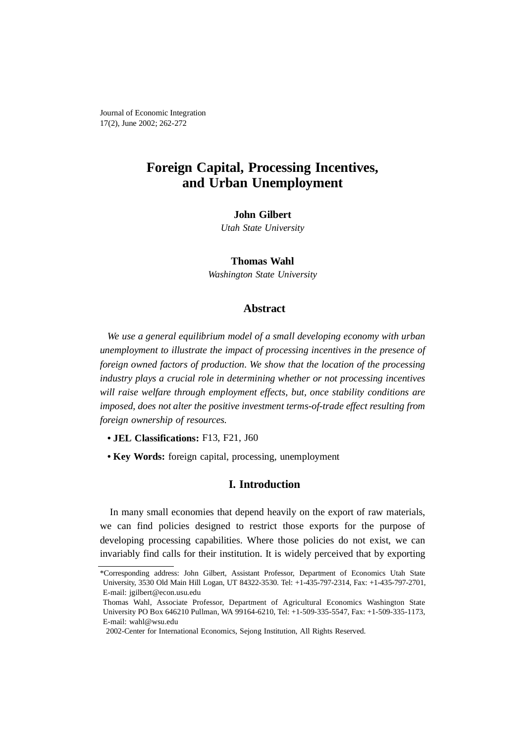# **Foreign Capital, Processing Incentives, and Urban Unemployment**

### **John Gilbert**

*Utah State University*

**Thomas Wahl** *Washington State University* 

# **Abstract**

*We use a general equilibrium model of a small developing economy with urban unemployment to illustrate the impact of processing incentives in the presence of foreign owned factors of production. We show that the location of the processing industry plays a crucial role in determining whether or not processing incentives will raise welfare through employment effects, but, once stability conditions are imposed, does not alter the positive investment terms-of-trade effect resulting from foreign ownership of resources.*

- **JEL Classifications:** F13, F21, J60
- **Key Words:** foreign capital, processing, unemployment

## **I. Introduction**

In many small economies that depend heavily on the export of raw materials, we can find policies designed to restrict those exports for the purpose of developing processing capabilities. Where those policies do not exist, we can invariably find calls for their institution. It is widely perceived that by exporting

<sup>\*</sup>Corresponding address: John Gilbert, Assistant Professor, Department of Economics Utah State University, 3530 Old Main Hill Logan, UT 84322-3530. Tel: +1-435-797-2314, Fax: +1-435-797-2701, E-mail: jgilbert@econ.usu.edu

Thomas Wahl, Associate Professor, Department of Agricultural Economics Washington State University PO Box 646210 Pullman, WA 99164-6210, Tel: +1-509-335-5547, Fax: +1-509-335-1173, E-mail: wahl@wsu.edu

<sup>2002-</sup>Center for International Economics, Sejong Institution, All Rights Reserved.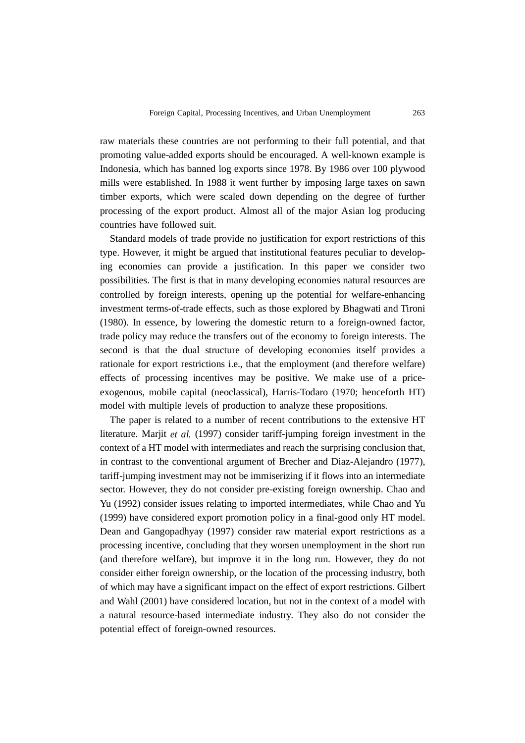raw materials these countries are not performing to their full potential, and that promoting value-added exports should be encouraged. A well-known example is Indonesia, which has banned log exports since 1978. By 1986 over 100 plywood mills were established. In 1988 it went further by imposing large taxes on sawn timber exports, which were scaled down depending on the degree of further processing of the export product. Almost all of the major Asian log producing countries have followed suit.

Standard models of trade provide no justification for export restrictions of this type. However, it might be argued that institutional features peculiar to developing economies can provide a justification. In this paper we consider two possibilities. The first is that in many developing economies natural resources are controlled by foreign interests, opening up the potential for welfare-enhancing investment terms-of-trade effects, such as those explored by Bhagwati and Tironi (1980). In essence, by lowering the domestic return to a foreign-owned factor, trade policy may reduce the transfers out of the economy to foreign interests. The second is that the dual structure of developing economies itself provides a rationale for export restrictions i.e., that the employment (and therefore welfare) effects of processing incentives may be positive. We make use of a priceexogenous, mobile capital (neoclassical), Harris-Todaro (1970; henceforth HT) model with multiple levels of production to analyze these propositions.

The paper is related to a number of recent contributions to the extensive HT literature. Marjit *et al.* (1997) consider tariff-jumping foreign investment in the context of a HT model with intermediates and reach the surprising conclusion that, in contrast to the conventional argument of Brecher and Diaz-Alejandro (1977), tariff-jumping investment may not be immiserizing if it flows into an intermediate sector. However, they do not consider pre-existing foreign ownership. Chao and Yu (1992) consider issues relating to imported intermediates, while Chao and Yu (1999) have considered export promotion policy in a final-good only HT model. Dean and Gangopadhyay (1997) consider raw material export restrictions as a processing incentive, concluding that they worsen unemployment in the short run (and therefore welfare), but improve it in the long run. However, they do not consider either foreign ownership, or the location of the processing industry, both of which may have a significant impact on the effect of export restrictions. Gilbert and Wahl (2001) have considered location, but not in the context of a model with a natural resource-based intermediate industry. They also do not consider the potential effect of foreign-owned resources.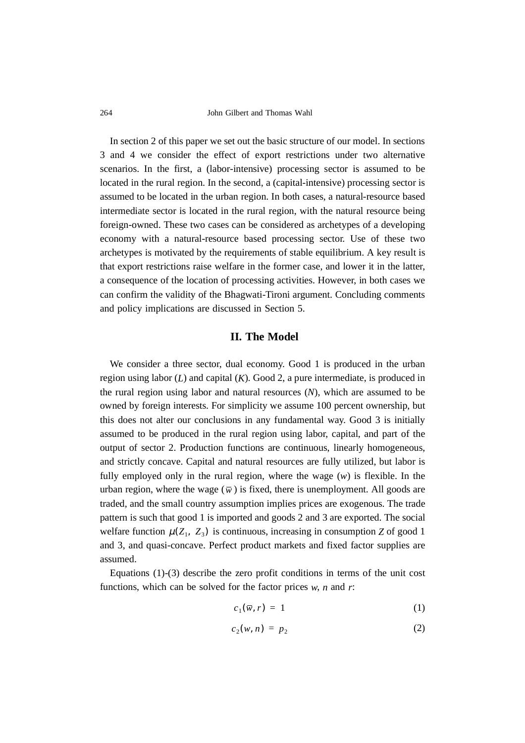In section 2 of this paper we set out the basic structure of our model. In sections 3 and 4 we consider the effect of export restrictions under two alternative scenarios. In the first, a (labor-intensive) processing sector is assumed to be located in the rural region. In the second, a (capital-intensive) processing sector is assumed to be located in the urban region. In both cases, a natural-resource based intermediate sector is located in the rural region, with the natural resource being foreign-owned. These two cases can be considered as archetypes of a developing economy with a natural-resource based processing sector. Use of these two archetypes is motivated by the requirements of stable equilibrium. A key result is that export restrictions raise welfare in the former case, and lower it in the latter, a consequence of the location of processing activities. However, in both cases we can confirm the validity of the Bhagwati-Tironi argument. Concluding comments and policy implications are discussed in Section 5.

## **II. The Model**

We consider a three sector, dual economy. Good 1 is produced in the urban region using labor (*L*) and capital (*K*). Good 2, a pure intermediate, is produced in the rural region using labor and natural resources (*N*), which are assumed to be owned by foreign interests. For simplicity we assume 100 percent ownership, but this does not alter our conclusions in any fundamental way. Good 3 is initially assumed to be produced in the rural region using labor, capital, and part of the output of sector 2. Production functions are continuous, linearly homogeneous, and strictly concave. Capital and natural resources are fully utilized, but labor is fully employed only in the rural region, where the wage (*w*) is flexible. In the urban region, where the wage  $(\overline{w})$  is fixed, there is unemployment. All goods are traded, and the small country assumption implies prices are exogenous. The trade pattern is such that good 1 is imported and goods 2 and 3 are exported. The social welfare function  $\mu(Z_1, Z_3)$  is continuous, increasing in consumption *Z* of good 1 and 3, and quasi-concave. Perfect product markets and fixed factor supplies are assumed.

Equations (1)-(3) describe the zero profit conditions in terms of the unit cost functions, which can be solved for the factor prices *w*, *n* and *r*:

$$
c_1(\overline{w},r) = 1 \tag{1}
$$

$$
c_2(w, n) = p_2 \tag{2}
$$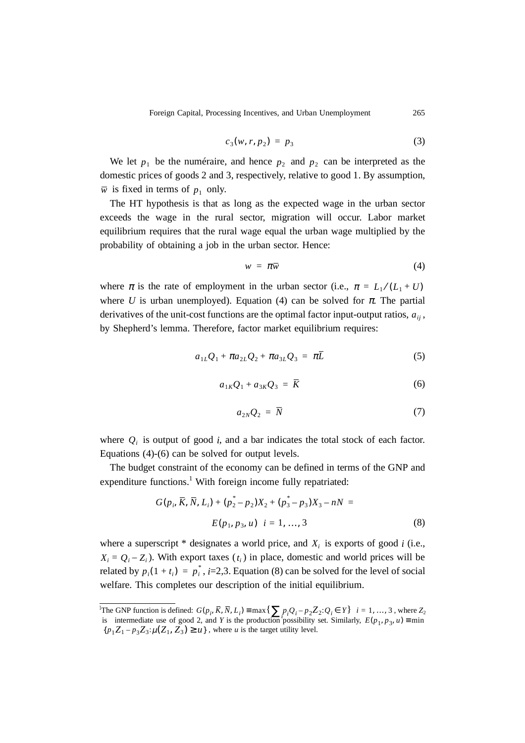Foreign Capital, Processing Incentives, and Urban Unemployment 265

$$
c_3(w, r, p_2) = p_3 \tag{3}
$$

We let  $p_1$  be the numéraire, and hence  $p_2$  and  $p_2$  can be interpreted as the domestic prices of goods 2 and 3, respectively, relative to good 1. By assumption,  $\overline{w}$  is fixed in terms of  $p_1$  only.

The HT hypothesis is that as long as the expected wage in the urban sector exceeds the wage in the rural sector, migration will occur. Labor market equilibrium requires that the rural wage equal the urban wage multiplied by the probability of obtaining a job in the urban sector. Hence:

$$
w = \pi \overline{w} \tag{4}
$$

where  $\pi$  is the rate of employment in the urban sector (i.e.,  $\pi = L_1 / (L_1 + U)$ where *U* is urban unemployed). Equation (4) can be solved for  $\pi$ . The partial derivatives of the unit-cost functions are the optimal factor input-output ratios,  $a_{ij}$ , by Shepherd's lemma. Therefore, factor market equilibrium requires:

$$
a_{1L}Q_1 + \pi a_{2L}Q_2 + \pi a_{3L}Q_3 = \pi \bar{L}
$$
 (5)

$$
a_{1K}Q_1 + a_{3K}Q_3 = \overline{K} \tag{6}
$$

$$
a_{2N}Q_2 = \overline{N} \tag{7}
$$

where  $Q_i$  is output of good *i*, and a bar indicates the total stock of each factor. Equations (4)-(6) can be solved for output levels.

The budget constraint of the economy can be defined in terms of the GNP and expenditure functions.<sup>1</sup> With foreign income fully repatriated:

$$
G(p_i, \overline{K}, \overline{N}, L_i) + (p_2^* - p_2)X_2 + (p_3^* - p_3)X_3 - nN =
$$
  

$$
E(p_1, p_3, u) \quad i = 1, ..., 3
$$
 (8)

where a superscript  $*$  designates a world price, and  $X_i$  is exports of good *i* (i.e.,  $X_i = Q_i - Z_i$ ). With export taxes  $(t_i)$  in place, domestic and world prices will be related by  $p_i(1 + t_i) = p_i^*$ , *i*=2,3. Equation (8) can be solved for the level of social welfare. This completes our description of the initial equilibrium.

<sup>&</sup>lt;sup>1</sup>The GNP function is defined:  $G(p_i, \overline{K}, \overline{N}, L_i) = \max\left\{ \sum p_i Q_i - p_2 Z_2 : Q_i \in Y \right\}$   $i = 1, ..., 3$ , where  $Z_2$ is intermediate use of good 2, and *Y* is the production possibility set. Similarly,  ${p_1 Z_1 - p_3 Z_3 : \mu(Z_1, Z_3) \ge u}$ , where *u* is the target utility level.  $G(p_i, \overline{K}, \overline{N}, L_i) \equiv \max\left\{ \sum_i p_i Q_i - p_2 Z_2 : Q_i \in Y \right\}$  *i* = 1, ..., 3  $E(p_1, p_3, u) \equiv \min$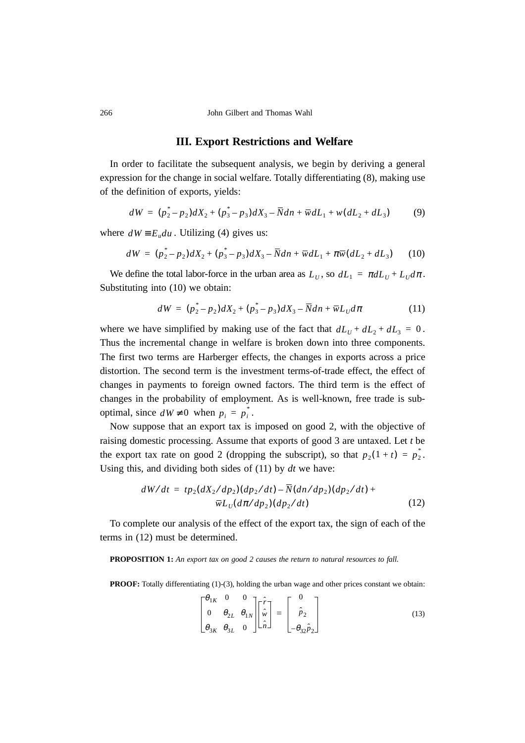### **III. Export Restrictions and Welfare**

In order to facilitate the subsequent analysis, we begin by deriving a general expression for the change in social welfare. Totally differentiating (8), making use of the definition of exports, yields:

$$
dW = (p_2^* - p_2)dX_2 + (p_3^* - p_3)dX_3 - \overline{N}dn + \overline{w}dL_1 + w(dL_2 + dL_3)
$$
 (9)

where  $dW \equiv E_u du$ . Utilizing (4) gives us:

$$
dW = (p_2^* - p_2)dX_2 + (p_3^* - p_3)dX_3 - \overline{N}dn + \overline{w}dL_1 + \pi \overline{w}(dL_2 + dL_3)
$$
 (10)

We define the total labor-force in the urban area as  $L_U$ , so  $dL_1 = \pi dL_U + L_U d\pi$ . Substituting into (10) we obtain:

$$
dW = (p_2^* - p_2)dX_2 + (p_3^* - p_3)dX_3 - \overline{N}dn + \overline{w}L_U d\pi
$$
 (11)

where we have simplified by making use of the fact that  $dL_U + dL_2 + dL_3 = 0$ . Thus the incremental change in welfare is broken down into three components. The first two terms are Harberger effects, the changes in exports across a price distortion. The second term is the investment terms-of-trade effect, the effect of changes in payments to foreign owned factors. The third term is the effect of changes in the probability of employment. As is well-known, free trade is suboptimal, since  $dW \neq 0$  when  $p_i = p_i^*$ .

Now suppose that an export tax is imposed on good 2, with the objective of raising domestic processing. Assume that exports of good 3 are untaxed. Let *t* be the export tax rate on good 2 (dropping the subscript), so that  $p_2(1 + t) = p_2^*$ . Using this, and dividing both sides of (11) by *dt* we have:

$$
dW/dt = tp_2(dX_2/dp_2)(dp_2/dt) - N(dn/dp_2)(dp_2/dt) + \overline{w}L_U(d\pi/dp_2)(dp_2/dt)
$$
\n(12)

To complete our analysis of the effect of the export tax, the sign of each of the terms in (12) must be determined.

**PROPOSITION 1:** *An export tax on good 2 causes the return to natural resources to fall.*

**PROOF:** Totally differentiating (1)-(3), holding the urban wage and other prices constant we obtain:

$$
\begin{bmatrix} \theta_{1K} & 0 & 0 \\ 0 & \theta_{2L} & \theta_{1N} \\ \theta_{3K} & \theta_{3L} & 0 \end{bmatrix} \begin{bmatrix} \hat{r} \\ \hat{w} \\ \hat{n} \end{bmatrix} = \begin{bmatrix} 0 \\ \hat{p}_2 \\ -\theta_{32} \hat{p}_2 \end{bmatrix}
$$
(13)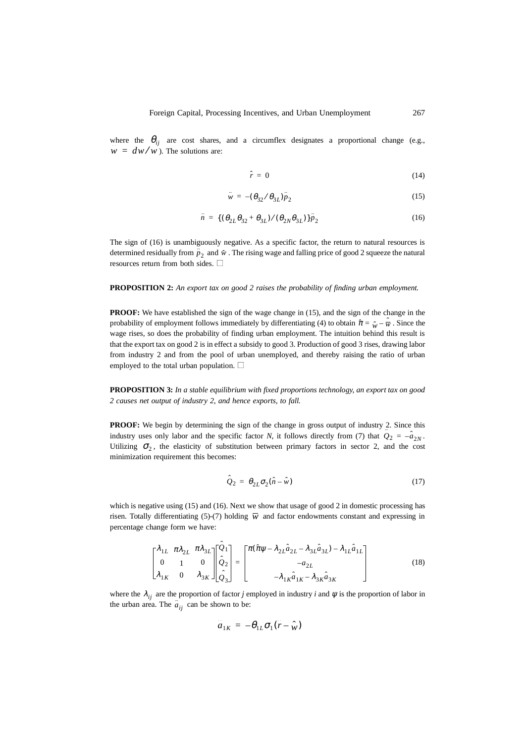where the  $\theta_{ij}$  are cost shares, and a circumflex designates a proportional change (e.g.,  $\hat{w} = dw/w$ ). The solutions are:

$$
\hat{r} = 0 \tag{14}
$$

$$
\hat{w} = -(\theta_{32}/\theta_{3L})\hat{p}_2
$$
\n(15)

$$
\hat{n} = \{ (\theta_{2L}\theta_{32} + \theta_{3L})/(\theta_{2N}\theta_{3L}) \} \hat{p}_2 \tag{16}
$$

The sign of (16) is unambiguously negative. As a specific factor, the return to natural resources is determined residually from  $\hat{p}_2$  and  $\hat{w}$ . The rising wage and falling price of good 2 squeeze the natural resources return from both sides.  $\Box$ 

#### **PROPOSITION 2:** *An export tax on good 2 raises the probability of finding urban employment.*

**PROOF:** We have established the sign of the wage change in (15), and the sign of the change in the probability of employment follows immediately by differentiating (4) to obtain  $\hat{\pi} = \hat{w} - \hat{\overline{w}}$ . Since the wage rises, so does the probability of finding urban employment. The intuition behind this result is that the export tax on good 2 is in effect a subsidy to good 3. Production of good 3 rises, drawing labor from industry 2 and from the pool of urban unemployed, and thereby raising the ratio of urban employed to the total urban population.  $\square$ 

**PROPOSITION 3:** *In a stable equilibrium with fixed proportions technology, an export tax on good 2 causes net output of industry 2, and hence exports, to fall.*

**PROOF:** We begin by determining the sign of the change in gross output of industry 2. Since this industry uses only labor and the specific factor *N*, it follows directly from (7) that  $\hat{Q}_2 = -\hat{a}_{2N}$ . Utilizing  $\sigma_2$ , the elasticity of substitution between primary factors in sector 2, and the cost minimization requirement this becomes:

$$
\hat{Q}_2 = \theta_{2L}\sigma_2(\hat{n} - \hat{w})\tag{17}
$$

which is negative using (15) and (16). Next we show that usage of good 2 in domestic processing has risen. Totally differentiating (5)-(7) holding  $\overline{w}$  and factor endowments constant and expressing in percentage change form we have:

$$
\begin{bmatrix} \lambda_{1L} & \pi \lambda_{2L} & \pi \lambda_{3L} \\ 0 & 1 & 0 \\ \lambda_{1K} & 0 & \lambda_{3K} \end{bmatrix} \begin{bmatrix} \hat{Q}_1 \\ \hat{Q}_2 \\ \hat{Q}_3 \end{bmatrix} = \begin{bmatrix} \pi(\hat{\pi}\psi - \lambda_{2L}\hat{a}_{2L} - \lambda_{3L}\hat{a}_{3L}) - \lambda_{1L}\hat{a}_{1L} \\ -a_{2L} \\ -\lambda_{1K}\hat{a}_{1K} - \lambda_{3K}\hat{a}_{3K} \end{bmatrix}
$$
(18)

where the  $\lambda_{ij}$  are the proportion of factor *j* employed in industry *i* and  $\psi$  is the proportion of labor in the urban area. The  $\hat{a}_{ij}$  can be shown to be:

$$
\hat{a}_{1K} = -\theta_{1L}\sigma_1(\hat{r} - \hat{w})
$$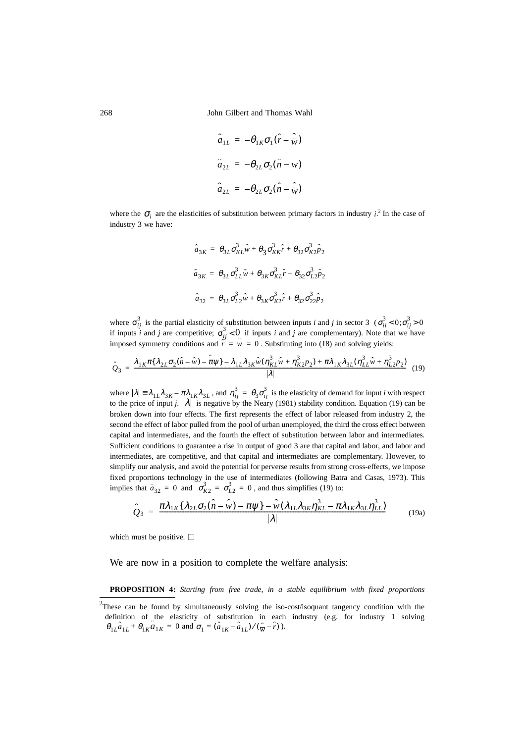268 John Gilbert and Thomas Wahl

$$
\hat{a}_{1L} = -\theta_{1K}\sigma_1(\hat{r} - \hat{\overline{w}})
$$

$$
\hat{a}_{2L} = -\theta_{2L}\sigma_2(\hat{n} - w)
$$

$$
\hat{a}_{2L} = -\theta_{2L}\sigma_2(\hat{n} - \hat{\overline{w}})
$$

where the  $\sigma_i$  are the elasticities of substitution between primary factors in industry *i*.<sup>2</sup> In the case of industry 3 we have:

$$
\hat{a}_{3K} = \theta_{3L}\sigma_{KL}^3\hat{w} + \theta_{3}\sigma_{KK}^3\hat{r} + \theta_{32}\sigma_{K2}^3\hat{p}_2
$$

$$
\hat{a}_{3K} = \theta_{3L}\sigma_{LL}^3\hat{w} + \theta_{3K}\sigma_{KL}^3\hat{r} + \theta_{32}\sigma_{L2}^3\hat{p}_2
$$

$$
\hat{a}_{32} = \theta_{3L}\sigma_{L2}^3\hat{w} + \theta_{3K}\sigma_{K2}^3\hat{r} + \theta_{32}\sigma_{22}^3\hat{p}_2
$$

where  $\sigma_{ii}^{\prime}$  is the partial elasticity of substitution between inputs *i* and *j* in sector 3 ( if inputs *i* and *j* are competitive;  $\sigma_{ij}^2 < 0$  if inputs *i* and *j* are complementary). Note that we have imposed symmetry conditions and  $\hat{r} = \hat{w} = 0$ . Substituting into (18) and solving yields:  $\sigma_{ij}^3$  is the partial elasticity of substitution between inputs *i* and *j* in sector 3  $(\sigma_{ii}^3 < 0; \sigma_{ij}^3 > 0)$  $\sigma_{ij}^3$  < 0

$$
\hat{Q}_3 = \frac{\lambda_{1K}\pi\{\lambda_{2L}\sigma_2(\hat{n}-\hat{w}) - \hat{\pi}\psi\} - \lambda_{1L}\lambda_{3K}\hat{w}(\eta_{KL}^3\hat{w} + \eta_{K2}^3p_2) + \pi\lambda_{1K}\lambda_{3L}(\eta_{LL}^3\hat{w} + \eta_{L2}^3p_2)}{|\lambda|} \tag{19}
$$

where  $|\lambda| = \lambda_{1L}\lambda_{3K} - \pi\lambda_{1K}\lambda_{3L}$ , and  $\eta_{ij}^3 = \theta_3\sigma_{ij}^3$  is the elasticity of demand for input *i* with respect to the price of input *j*.  $|\lambda|$  is negative by the Neary (1981) stability condition. Equation (19) can be broken down into four effects. The first represents the effect of labor released from industry 2, the second the effect of labor pulled from the pool of urban unemployed, the third the cross effect between capital and intermediates, and the fourth the effect of substitution between labor and intermediates. Sufficient conditions to guarantee a rise in output of good 3 are that capital and labor, and labor and intermediates, are competitive, and that capital and intermediates are complementary. However, to simplify our analysis, and avoid the potential for perverse results from strong cross-effects, we impose fixed proportions technology in the use of intermediates (following Batra and Casas, 1973). This implies that  $\hat{a}_{32} = 0$  and  $\sigma_{K2}^3 = \sigma_{L2}^3 = 0$ , and thus simplifies (19) to:

$$
\hat{Q}_3 = \frac{\pi \lambda_{1K} \{\lambda_{2L} \sigma_2 (\hat{n} - \hat{w}) - \hat{\pi} \psi\} - \hat{w} (\lambda_{1L} \lambda_{3K} \eta_{KL}^3 - \pi \lambda_{1K} \lambda_{3L} \eta_{LL}^3)}{|\lambda|} \tag{19a}
$$

which must be positive.  $\Box$ 

### We are now in a position to complete the welfare analysis:

**PROPOSITION 4:** *Starting from free trade, in a stable equilibrium with fixed proportions*

<sup>&</sup>lt;sup>2</sup>These can be found by simultaneously solving the iso-cost/isoquant tangency condition with the definition of the elasticity of substitution in each industry (e.g. for industry 1 solving  $\theta_{1L}\hat{a}_{1L} + \theta_{1K}\hat{a}_{1K} = 0$  and  $\sigma_1 = (\hat{a}_{1K} - \hat{a}_{1L})/(\hat{w} - \hat{r})$ ).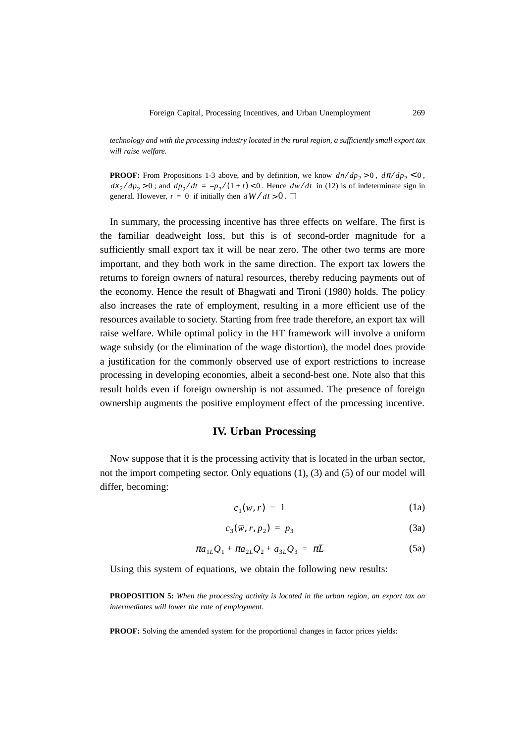*technology and with the processing industry located in the rural region, a sufficiently small export tax will raise welfare.*

**PROOF:** From Propositions 1-3 above, and by definition, we know  $dn/dp_2 > 0$ ,  $d\pi/dp_2 < 0$ ,  $dx_2/dp_2 > 0$ ; and  $dp_2/dt = -p_2/(1+t) < 0$ . Hence  $dw/dt$  in (12) is of indeterminate sign in general. However,  $t = 0$  if initially then  $dW/dt > 0$ .

In summary, the processing incentive has three effects on welfare. The first is the familiar deadweight loss, but this is of second-order magnitude for a sufficiently small export tax it will be near zero. The other two terms are more important, and they both work in the same direction. The export tax lowers the returns to foreign owners of natural resources, thereby reducing payments out of the economy. Hence the result of Bhagwati and Tironi (1980) holds. The policy also increases the rate of employment, resulting in a more efficient use of the resources available to society. Starting from free trade therefore, an export tax will raise welfare. While optimal policy in the HT framework will involve a uniform wage subsidy (or the elimination of the wage distortion), the model does provide a justification for the commonly observed use of export restrictions to increase processing in developing economies, albeit a second-best one. Note also that this result holds even if foreign ownership is not assumed. The presence of foreign ownership augments the positive employment effect of the processing incentive.

# **IV. Urban Processing**

Now suppose that it is the processing activity that is located in the urban sector, not the import competing sector. Only equations (1), (3) and (5) of our model will differ, becoming:

$$
c_1(w,r) = 1 \tag{1a}
$$

$$
c_3(\overline{w}, r, p_2) = p_3 \tag{3a}
$$

$$
\pi a_{1L} Q_1 + \pi a_{2L} Q_2 + a_{3L} Q_3 = \pi \bar{L}
$$
 (5a)

Using this system of equations, we obtain the following new results:

**PROPOSITION 5:** *When the processing activity is located in the urban region, an export tax on intermediates will lower the rate of employment.*

**PROOF:** Solving the amended system for the proportional changes in factor prices yields: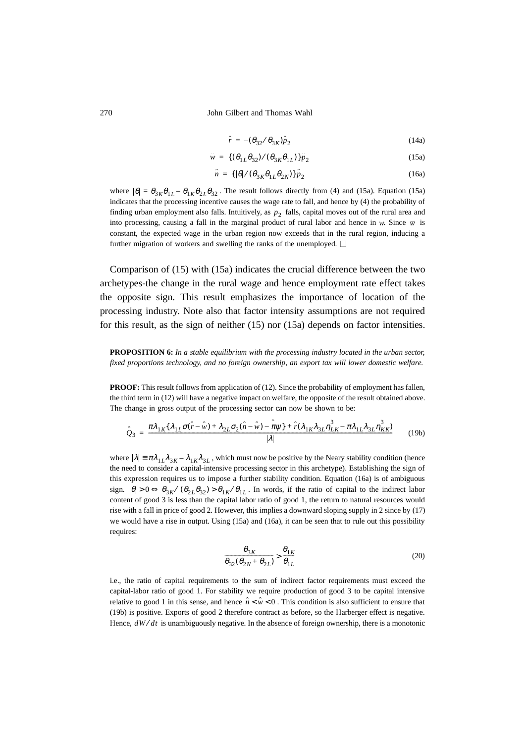$$
\hat{r} = -(\theta_{32}/\theta_{3K})\hat{p}_2 \tag{14a}
$$

$$
\hat{w} = \{ (\theta_{1L}\theta_{32})/(\theta_{3K}\theta_{1L}) \} \hat{p}_2 \tag{15a}
$$

$$
\hat{n} = \{ |\theta| / (\theta_{3K} \theta_{1L} \theta_{2N}) \} \hat{p}_2 \tag{16a}
$$

where  $|\theta| = \theta_{3K}\theta_{1L} - \theta_{1K}\theta_{2L}\theta_{32}$ . The result follows directly from (4) and (15a). Equation (15a) indicates that the processing incentive causes the wage rate to fall, and hence by (4) the probability of finding urban employment also falls. Intuitively, as  $p_2$  falls, capital moves out of the rural area and into processing, causing a fall in the marginal product of rural labor and hence in *w*. Since  $\overline{w}$  is constant, the expected wage in the urban region now exceeds that in the rural region, inducing a further migration of workers and swelling the ranks of the unemployed.  $\square$ 

Comparison of (15) with (15a) indicates the crucial difference between the two archetypes-the change in the rural wage and hence employment rate effect takes the opposite sign. This result emphasizes the importance of location of the processing industry. Note also that factor intensity assumptions are not required for this result, as the sign of neither (15) nor (15a) depends on factor intensities.

**PROPOSITION 6:** *In a stable equilibrium with the processing industry located in the urban sector, fixed proportions technology, and no foreign ownership, an export tax will lower domestic welfare.*

**PROOF:** This result follows from application of (12). Since the probability of employment has fallen, the third term in (12) will have a negative impact on welfare, the opposite of the result obtained above. The change in gross output of the processing sector can now be shown to be:

$$
\hat{Q}_3 = \frac{\pi \lambda_{1K} \{\lambda_{1L} \sigma(\hat{r} - \hat{w}) + \lambda_{2L} \sigma_2(\hat{n} - \hat{w}) - \hat{\pi}\psi\} + \hat{r}(\lambda_{1K} \lambda_{3L} \eta_{LK}^3 - \pi \lambda_{1L} \lambda_{3L} \eta_{KK}^3}{|\lambda|} \tag{19b}
$$

where  $|\lambda| = \pi \lambda_{1L} \lambda_{3K} - \lambda_{1K} \lambda_{3L}$ , which must now be positive by the Neary stability condition (hence the need to consider a capital-intensive processing sector in this archetype). Establishing the sign of this expression requires us to impose a further stability condition. Equation (16a) is of ambiguous sign.  $|\theta| > 0 \Leftrightarrow \theta_{3K} / (\theta_{2L}\theta_{32}) > \theta_{1K}/\theta_{1L}$ . In words, if the ratio of capital to the indirect labor content of good 3 is less than the capital labor ratio of good 1, the return to natural resources would rise with a fall in price of good 2. However, this implies a downward sloping supply in 2 since by (17) we would have a rise in output. Using (15a) and (16a), it can be seen that to rule out this possibility requires:

$$
\frac{\theta_{3K}}{\theta_{32}(\theta_{2N} + \theta_{2L})} > \frac{\theta_{1K}}{\theta_{1L}}
$$
\n(20)

i.e., the ratio of capital requirements to the sum of indirect factor requirements must exceed the capital-labor ratio of good 1. For stability we require production of good 3 to be capital intensive relative to good 1 in this sense, and hence  $\hat{n} < \hat{w} < 0$ . This condition is also sufficient to ensure that (19b) is positive. Exports of good 2 therefore contract as before, so the Harberger effect is negative. Hence,  $dW/dt$  is unambiguously negative. In the absence of foreign ownership, there is a monotonic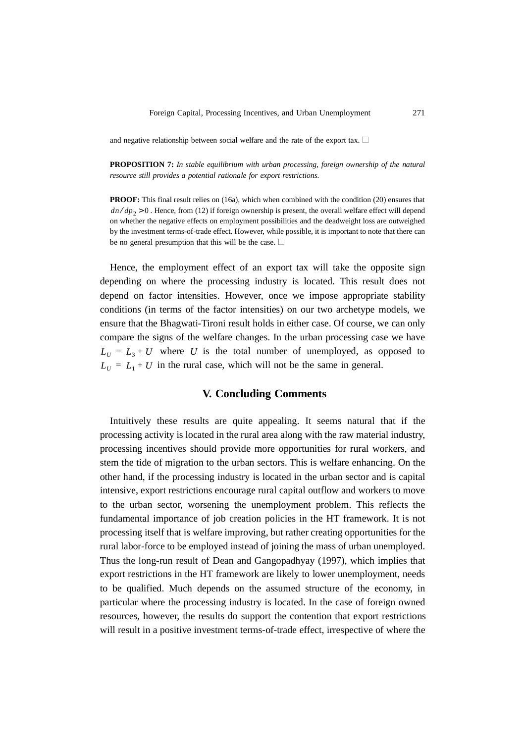and negative relationship between social welfare and the rate of the export tax.  $\square$ 

**PROPOSITION 7:** *In stable equilibrium with urban processing, foreign ownership of the natural resource still provides a potential rationale for export restrictions.*

**PROOF:** This final result relies on (16a), which when combined with the condition (20) ensures that  $dn/dp_2 > 0$ . Hence, from (12) if foreign ownership is present, the overall welfare effect will depend on whether the negative effects on employment possibilities and the deadweight loss are outweighed by the investment terms-of-trade effect. However, while possible, it is important to note that there can be no general presumption that this will be the case.  $\Box$ 

Hence, the employment effect of an export tax will take the opposite sign depending on where the processing industry is located. This result does not depend on factor intensities. However, once we impose appropriate stability conditions (in terms of the factor intensities) on our two archetype models, we ensure that the Bhagwati-Tironi result holds in either case. Of course, we can only compare the signs of the welfare changes. In the urban processing case we have  $L_U = L_3 + U$  where *U* is the total number of unemployed, as opposed to  $L_U = L_1 + U$  in the rural case, which will not be the same in general.

## **V. Concluding Comments**

Intuitively these results are quite appealing. It seems natural that if the processing activity is located in the rural area along with the raw material industry, processing incentives should provide more opportunities for rural workers, and stem the tide of migration to the urban sectors. This is welfare enhancing. On the other hand, if the processing industry is located in the urban sector and is capital intensive, export restrictions encourage rural capital outflow and workers to move to the urban sector, worsening the unemployment problem. This reflects the fundamental importance of job creation policies in the HT framework. It is not processing itself that is welfare improving, but rather creating opportunities for the rural labor-force to be employed instead of joining the mass of urban unemployed. Thus the long-run result of Dean and Gangopadhyay (1997), which implies that export restrictions in the HT framework are likely to lower unemployment, needs to be qualified. Much depends on the assumed structure of the economy, in particular where the processing industry is located. In the case of foreign owned resources, however, the results do support the contention that export restrictions will result in a positive investment terms-of-trade effect, irrespective of where the